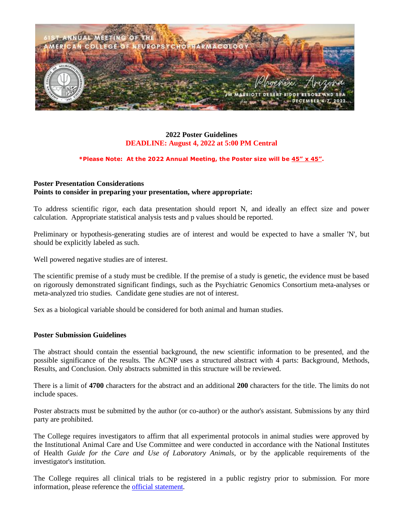

### **2022 Poster Guidelines DEADLINE: August 4, 2022 at 5:00 PM Central**

#### **\*Please Note: At the 2022 Annual Meeting, the Poster size will be 45" x 45".**

### **Poster Presentation Considerations Points to consider in preparing your presentation, where appropriate:**

To address scientific rigor, each data presentation should report N, and ideally an effect size and power calculation. Appropriate statistical analysis tests and p values should be reported.

Preliminary or hypothesis-generating studies are of interest and would be expected to have a smaller 'N', but should be explicitly labeled as such.

Well powered negative studies are of interest.

The scientific premise of a study must be credible. If the premise of a study is genetic, the evidence must be based on rigorously demonstrated significant findings, such as the Psychiatric Genomics Consortium meta-analyses or meta-analyzed trio studies. Candidate gene studies are not of interest.

Sex as a biological variable should be considered for both animal and human studies.

### **Poster Submission Guidelines**

The abstract should contain the essential background, the new scientific information to be presented, and the possible significance of the results. The ACNP uses a structured abstract with 4 parts: Background, Methods, Results, and Conclusion. Only abstracts submitted in this structure will be reviewed.

There is a limit of **4700** characters for the abstract and an additional **200** characters for the title. The limits do not include spaces.

Poster abstracts must be submitted by the author (or co-author) or the author's assistant. Submissions by any third party are prohibited.

The College requires investigators to affirm that all experimental protocols in animal studies were approved by the Institutional Animal Care and Use Committee and were conducted in accordance with the National Institutes of Health *Guide for the Care and Use of Laboratory Animals*, or by the applicable requirements of the investigator's institution.

The College requires all clinical trials to be registered in a public registry prior to submission. For more information, please reference the [official statement.](https://acnp.org/wp-content/uploads/2017/10/REVISEDACNPClinicalTrialsStatement2013.pdf)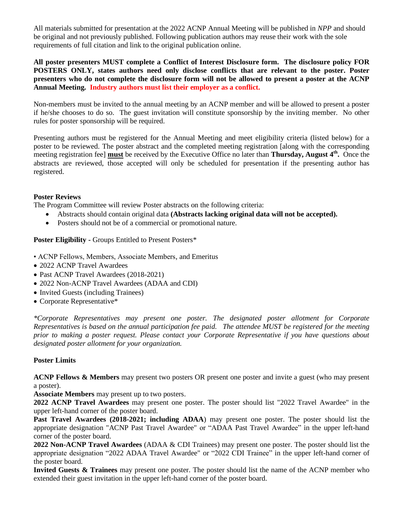All materials submitted for presentation at the 2022 ACNP Annual Meeting will be published in *NPP* and should be original and not previously published. Following publication authors may reuse their work with the sole requirements of full citation and link to the original publication online.

**All poster presenters MUST complete a Conflict of Interest Disclosure form. The disclosure policy FOR POSTERS ONLY, states authors need only disclose conflicts that are relevant to the poster. Poster presenters who do not complete the disclosure form will not be allowed to present a poster at the ACNP Annual Meeting. Industry authors must list their employer as a conflict.**

Non-members must be invited to the annual meeting by an ACNP member and will be allowed to present a poster if he/she chooses to do so. The guest invitation will constitute sponsorship by the inviting member. No other rules for poster sponsorship will be required.

Presenting authors must be registered for the Annual Meeting and meet eligibility criteria (listed below) for a poster to be reviewed. The poster abstract and the completed meeting registration [along with the corresponding meeting registration fee] **must** be received by the Executive Office no later than **Thursday**, August 4<sup>th</sup>. Once the abstracts are reviewed, those accepted will only be scheduled for presentation if the presenting author has registered.

### **Poster Reviews**

The Program Committee will review Poster abstracts on the following criteria:

- Abstracts should contain original data **(Abstracts lacking original data will not be accepted).**
- Posters should not be of a commercial or promotional nature.

**Poster Eligibility -** Groups Entitled to Present Posters\*

- ACNP Fellows, Members, Associate Members, and Emeritus
- 2022 ACNP Travel Awardees
- Past ACNP Travel Awardees (2018-2021)
- 2022 Non-ACNP Travel Awardees (ADAA and CDI)
- Invited Guests (including Trainees)
- Corporate Representative\*

*\*Corporate Representatives may present one poster. The designated poster allotment for Corporate Representatives is based on the annual participation fee paid. The attendee MUST be registered for the meeting prior to making a poster request. Please contact your Corporate Representative if you have questions about designated poster allotment for your organization.* 

### **Poster Limits**

**ACNP Fellows & Members** may present two posters OR present one poster and invite a guest (who may present a poster).

**Associate Members** may present up to two posters.

**2022 ACNP Travel Awardees** may present one poster. The poster should list "2022 Travel Awardee" in the upper left-hand corner of the poster board.

**Past Travel Awardees (2018-2021; including ADAA**) may present one poster. The poster should list the appropriate designation "ACNP Past Travel Awardee" or "ADAA Past Travel Awardee" in the upper left-hand corner of the poster board.

**2022 Non-ACNP Travel Awardees** (ADAA & CDI Trainees) may present one poster. The poster should list the appropriate designation "2022 ADAA Travel Awardee" or "2022 CDI Trainee" in the upper left-hand corner of the poster board.

**Invited Guests & Trainees** may present one poster. The poster should list the name of the ACNP member who extended their guest invitation in the upper left-hand corner of the poster board.